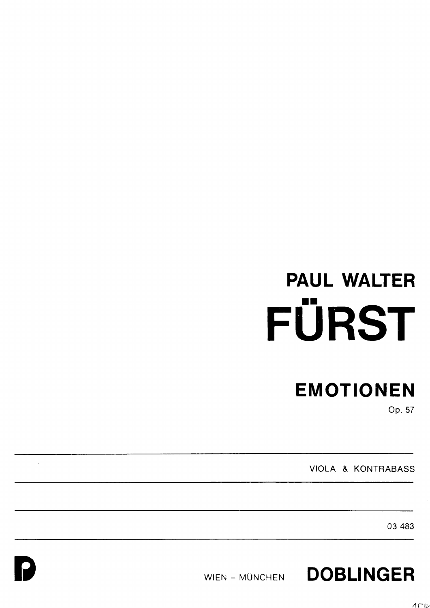# **PAUL WALTER** FÜRST

# **EMOTIONEN**

Op. 57

VIOLA & KONTRABASS

03 483

**DOBLINGER** 

WIEN - MÜNCHEN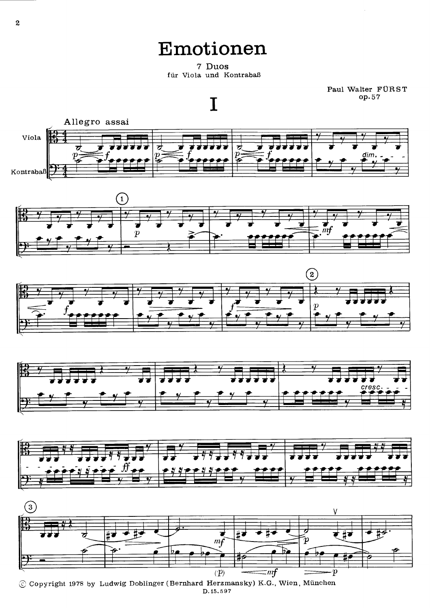7 Duos für Viola und Kontrabaß

Paul Walter FÜRST op.57









© Copyright 1978 by Ludwig Doblinger (Bernhard Herzmansky) K.G., Wien, München D.15.597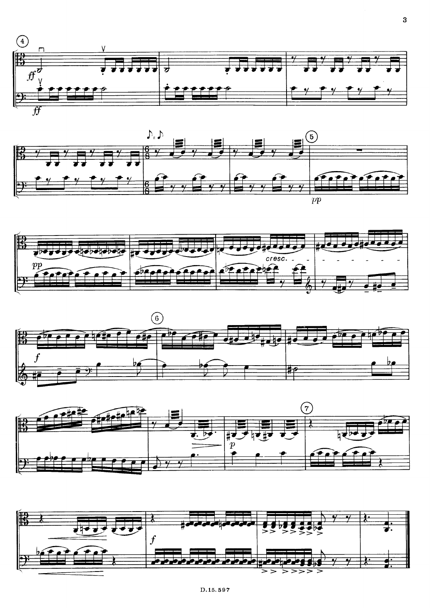









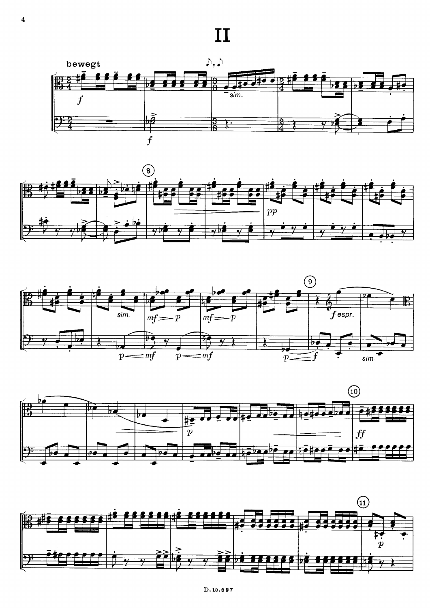II









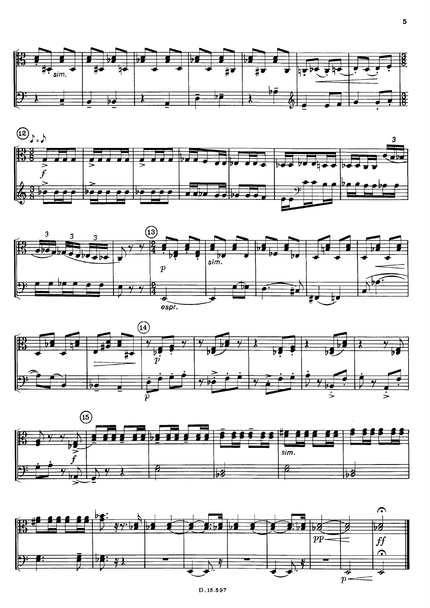









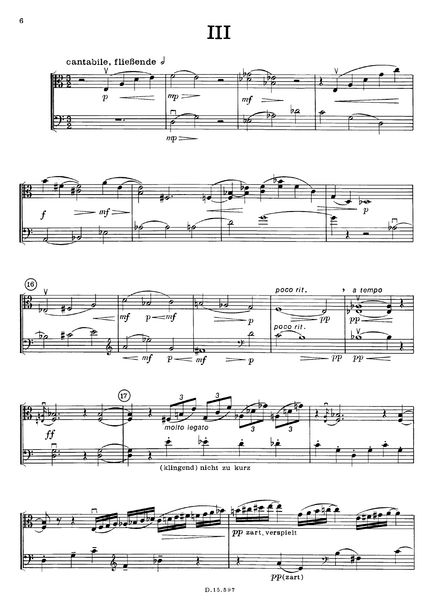#### III









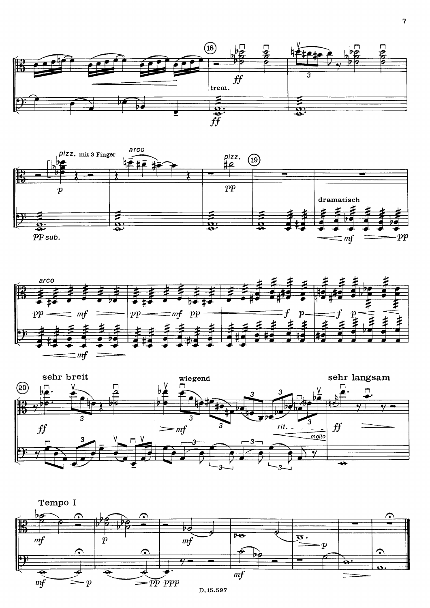







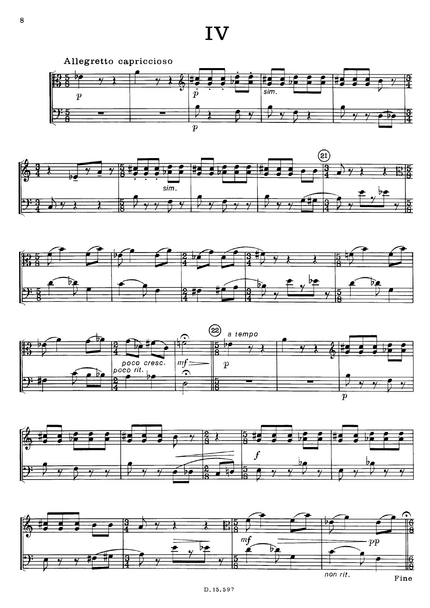IV











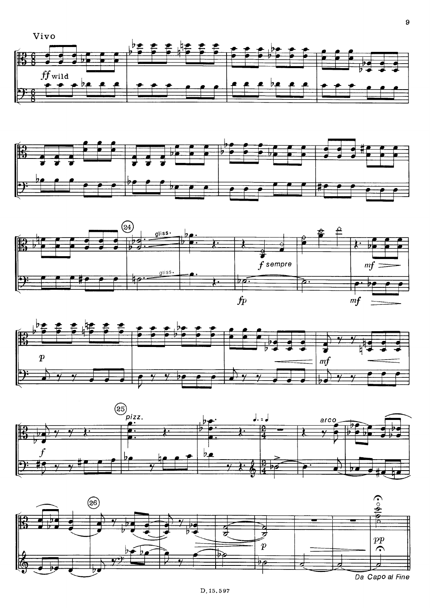









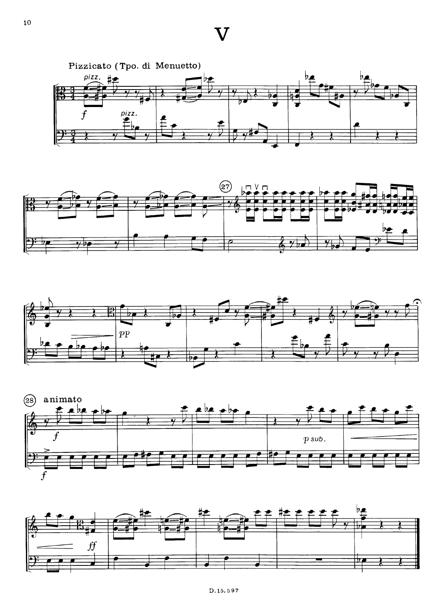







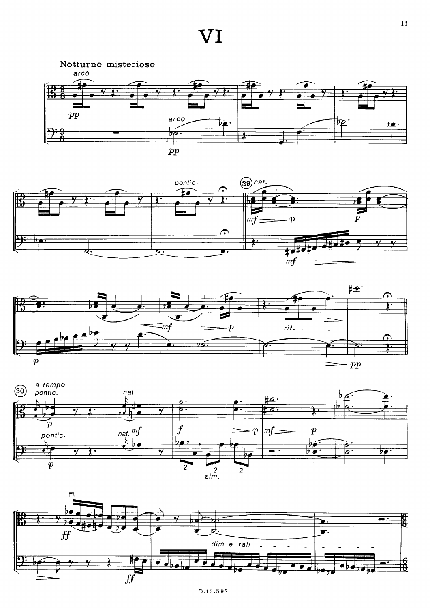## VI









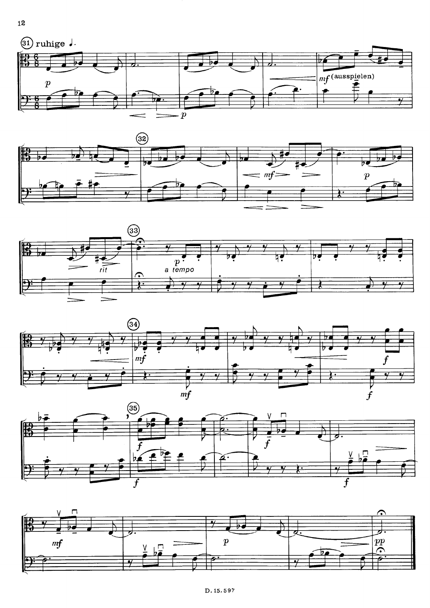









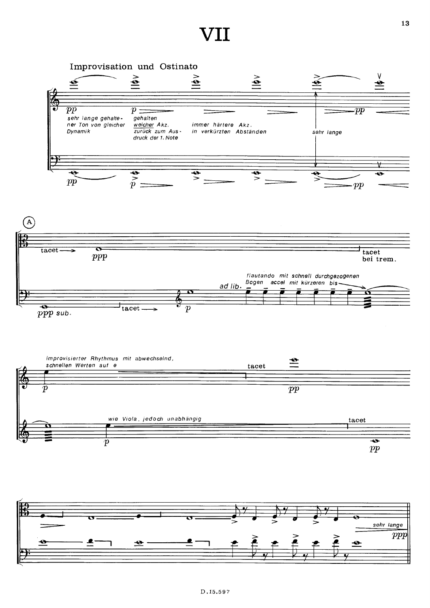### VII







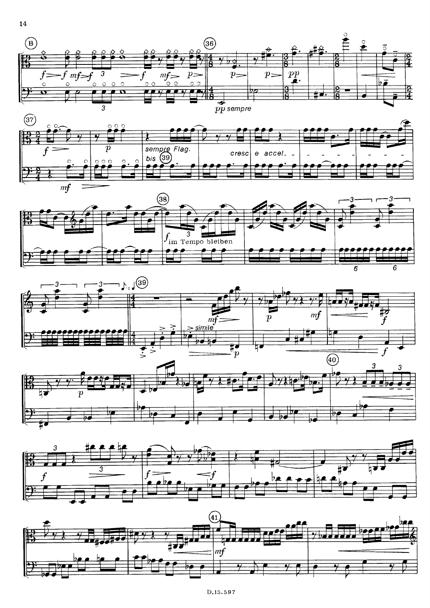